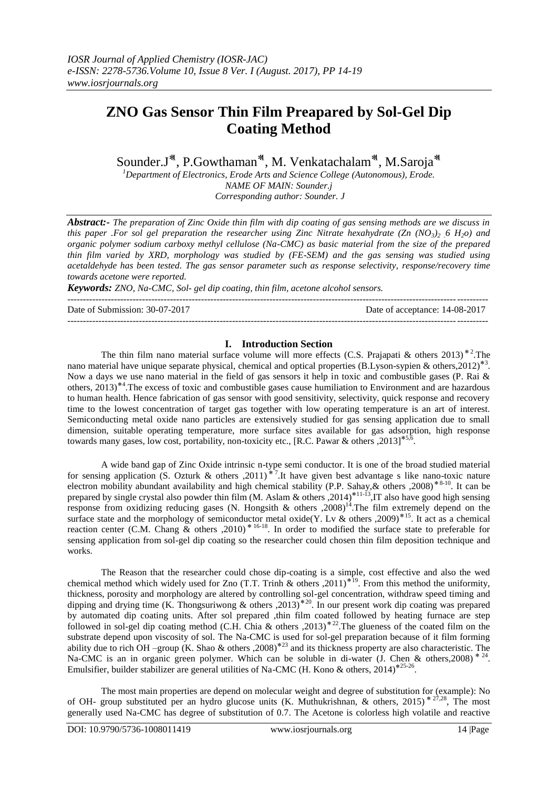# **ZNO Gas Sensor Thin Film Preapared by Sol-Gel Dip Coating Method**

Sounder.J<sup>\*</sup>, P.Gowthaman<sup>\*</sup>, M. Venkatachalam<sup>\*</sup>, M.Saroja<sup>\*</sup>

*<sup>1</sup>Department of Electronics, Erode Arts and Science College (Autonomous), Erode. NAME OF MAIN: Sounder.j Corresponding author: Sounder. J*

*Abstract:- The preparation of Zinc Oxide thin film with dip coating of gas sensing methods are we discuss in this paper .For sol gel preparation the researcher using Zinc Nitrate hexahydrate (Zn*  $(NO_3)$ *<sup>2</sup>, 6 H<sub>2</sub><sup>0</sup>) and organic polymer sodium carboxy methyl cellulose (Na-CMC) as basic material from the size of the prepared thin film varied by XRD, morphology was studied by (FE-SEM) and the gas sensing was studied using acetaldehyde has been tested. The gas sensor parameter such as response selectivity, response/recovery time towards acetone were reported.*

*Keywords: ZNO, Na-CMC, Sol- gel dip coating, thin film, acetone alcohol sensors.*

--------------------------------------------------------------------------------------------------------------------------------------- Date of Submission: 30-07-2017 Date of acceptance: 14-08-2017 ---------------------------------------------------------------------------------------------------------------------------------------

#### **I. Introduction Section**

The thin film nano material surface volume will more effects (C.S. Prajapati & others 2013)<sup>\*2</sup>.The nano material have unique separate physical, chemical and optical properties (B.Lyson-sypien & others, 2012)<sup>\*3</sup>. Now a days we use nano material in the field of gas sensors it help in toxic and combustible gases (P. Rai & others, 2013)<sup>\*4</sup>. The excess of toxic and combustible gases cause humiliation to Environment and are hazardous to human health. Hence fabrication of gas sensor with good sensitivity, selectivity, quick response and recovery time to the lowest concentration of target gas together with low operating temperature is an art of interest. Semiconducting metal oxide nano particles are extensively studied for gas sensing application due to small dimension, suitable operating temperature, more surface sites available for gas adsorption, high response towards many gases, low cost, portability, non-toxicity etc., [R.C. Pawar & others ,2013]<sup>\*5,6</sup> .

A wide band gap of Zinc Oxide intrinsic n-type semi conductor. It is one of the broad studied material for sensing application (S. Ozturk & others ,2011)<sup>\*7</sup>. It have given best advantage s like nano-toxic nature electron mobility abundant availability and high chemical stability (P.P. Sahay, & others , 2008)<sup>\*8-10</sup>. It can be prepared by single crystal also powder thin film (M. Aslam & others ,2014)<sup>\*11-13</sup>, IT also have good high sensing response from oxidizing reducing gases (N. Hongsith & others ,2008)<sup>14</sup>. The film extremely depend on the surface state and the morphology of semiconductor metal oxide(Y. Lv & others ,2009)<sup>\*15</sup>. It act as a chemical reaction center (C.M. Chang & others ,2010)<sup>\* 16-18</sup>. In order to modified the surface state to preferable for sensing application from sol-gel dip coating so the researcher could chosen thin film deposition technique and works.

The Reason that the researcher could chose dip-coating is a simple, cost effective and also the wed chemical method which widely used for Zno (T.T. Trinh & others ,2011)<sup>\*19</sup>. From this method the uniformity, thickness, porosity and morphology are altered by controlling sol-gel concentration, withdraw speed timing and dipping and drying time (K. Thongsuriwong & others ,2013)<sup>\*20</sup>. In our present work dip coating was prepared by automated dip coating units. After sol prepared ,thin film coated followed by heating furnace are step followed in sol-gel dip coating method (C.H. Chia & others ,2013)<sup>\*22</sup>. The glueness of the coated film on the substrate depend upon viscosity of sol. The Na-CMC is used for sol-gel preparation because of it film forming ability due to rich OH –group (K. Shao & others ,2008)<sup>\*23</sup> and its thickness property are also characteristic. The Na-CMC is an in organic green polymer. Which can be soluble in di-water (J. Chen & others, 2008)  $*$  <sup>24</sup>. Emulsifier, builder stabilizer are general utilities of Na-CMC (H. Kono & others, 2014)<sup>\*25-26</sup>.

The most main properties are depend on molecular weight and degree of substitution for (example): No of OH- group substituted per an hydro glucose units (K. Muthukrishnan, & others, 2015)<sup>\* 27,28</sup>, The most generally used Na-CMC has degree of substitution of 0.7. The Acetone is colorless high volatile and reactive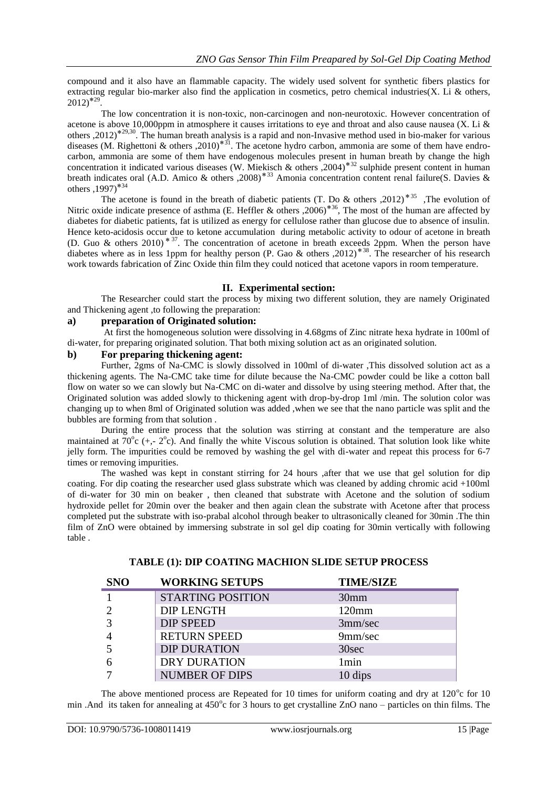compound and it also have an flammable capacity. The widely used solvent for synthetic fibers plastics for extracting regular bio-marker also find the application in cosmetics, petro chemical industries(X. Li & others,  $2012$ <sup>\*29</sup>.

The low concentration it is non-toxic, non-carcinogen and non-neurotoxic. However concentration of acetone is above 10,000ppm in atmosphere it causes irritations to eye and throat and also cause nausea (X. Li  $\&$ others ,  $2012$ <sup>\*29,30</sup>. The human breath analysis is a rapid and non-Invasive method used in bio-maker for various diseases (M. Righettoni & others ,2010)<sup>\*31</sup>. The acetone hydro carbon, ammonia are some of them have endrocarbon, ammonia are some of them have endogenous molecules present in human breath by change the high concentration it indicated various diseases (W. Miekisch & others , 2004)<sup>\*32</sup> sulphide present content in human breath indicates oral (A.D. Amico & others ,2008)<sup>\*33</sup> Amonia concentration content renal failure(S. Davies & others  $,1997$ <sup>\*34</sup>

The acetone is found in the breath of diabetic patients (T. Do & others ,2012)<sup>\*35</sup>, The evolution of Nitric oxide indicate presence of asthma (E. Heffler & others ,2006)<sup>\*36</sup>, The most of the human are affected by diabetes for diabetic patients, fat is utilized as energy for cellulose rather than glucose due to absence of insulin. Hence keto-acidosis occur due to ketone accumulation during metabolic activity to odour of acetone in breath (D. Guo & others 2010)<sup>\* 37</sup>. The concentration of acetone in breath exceeds 2ppm. When the person have diabetes where as in less 1ppm for healthy person (P. Gao & others , 2012)<sup>\*38</sup>. The researcher of his research work towards fabrication of Zinc Oxide thin film they could noticed that acetone vapors in room temperature.

#### **II. Experimental section:**

The Researcher could start the process by mixing two different solution, they are namely Originated and Thickening agent ,to following the preparation:

#### **a) preparation of Originated solution:**

At first the homogeneous solution were dissolving in 4.68gms of Zinc nitrate hexa hydrate in 100ml of di-water, for preparing originated solution. That both mixing solution act as an originated solution.

#### **b) For preparing thickening agent:**

Further, 2gms of Na-CMC is slowly dissolved in 100ml of di-water ,This dissolved solution act as a thickening agents. The Na-CMC take time for dilute because the Na-CMC powder could be like a cotton ball flow on water so we can slowly but Na-CMC on di-water and dissolve by using steering method. After that, the Originated solution was added slowly to thickening agent with drop-by-drop 1ml /min. The solution color was changing up to when 8ml of Originated solution was added ,when we see that the nano particle was split and the bubbles are forming from that solution .

During the entire process that the solution was stirring at constant and the temperature are also maintained at  $70^{\circ}$ c (+,-  $2^{\circ}$ c). And finally the white Viscous solution is obtained. That solution look like white jelly form. The impurities could be removed by washing the gel with di-water and repeat this process for 6-7 times or removing impurities.

The washed was kept in constant stirring for 24 hours ,after that we use that gel solution for dip coating. For dip coating the researcher used glass substrate which was cleaned by adding chromic acid +100ml of di-water for 30 min on beaker , then cleaned that substrate with Acetone and the solution of sodium hydroxide pellet for 20min over the beaker and then again clean the substrate with Acetone after that process completed put the substrate with iso-prabal alcohol through beaker to ultrasonically cleaned for 30min .The thin film of ZnO were obtained by immersing substrate in sol gel dip coating for 30min vertically with following table .

| <b>SNO</b> | <b>WORKING SETUPS</b>    | <b>TIME/SIZE</b> |
|------------|--------------------------|------------------|
|            | <b>STARTING POSITION</b> | 30 <sub>mm</sub> |
|            | <b>DIP LENGTH</b>        | $120 \text{mm}$  |
|            | <b>DIP SPEED</b>         | 3mm/sec          |
|            | <b>RETURN SPEED</b>      | 9mm/sec          |
|            | <b>DIP DURATION</b>      | 30sec            |
|            | <b>DRY DURATION</b>      | 1 <sub>min</sub> |
|            | <b>NUMBER OF DIPS</b>    | 10 dips          |

# **TABLE (1): DIP COATING MACHION SLIDE SETUP PROCESS**

The above mentioned process are Repeated for 10 times for uniform coating and dry at  $120^{\circ}$ c for 10 min .And its taken for annealing at  $450^{\circ}$ c for 3 hours to get crystalline ZnO nano – particles on thin films. The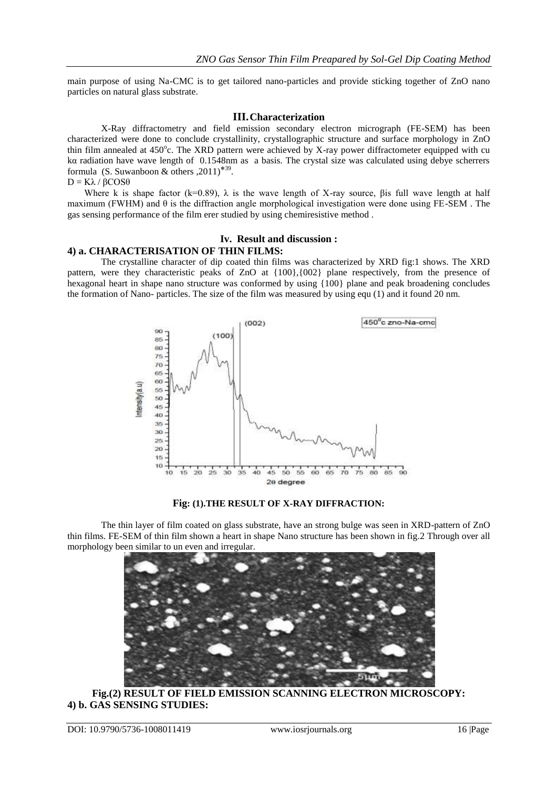main purpose of using Na-CMC is to get tailored nano-particles and provide sticking together of ZnO nano particles on natural glass substrate.

#### **III.Characterization**

X-Ray diffractometry and field emission secondary electron micrograph (FE-SEM) has been characterized were done to conclude crystallinity, crystallographic structure and surface morphology in ZnO thin film annealed at 450°c. The XRD pattern were achieved by X-ray power diffractometer equipped with cu kα radiation have wave length of 0.1548nm as a basis. The crystal size was calculated using debye scherrers formula (S. Suwanboon & others ,  $2011$ )<sup>\*39</sup>.

 $D = Kλ / βCOSθ$ 

Where k is shape factor (k=0.89),  $\lambda$  is the wave length of X-ray source, βis full wave length at half maximum (FWHM) and  $\theta$  is the diffraction angle morphological investigation were done using FE-SEM. The gas sensing performance of the film erer studied by using chemiresistive method .

# **Iv. Result and discussion :**

# **4) a. CHARACTERISATION OF THIN FILMS:**

The crystalline character of dip coated thin films was characterized by XRD fig:1 shows. The XRD pattern, were they characteristic peaks of ZnO at {100},{002} plane respectively, from the presence of hexagonal heart in shape nano structure was conformed by using {100} plane and peak broadening concludes the formation of Nano- particles. The size of the film was measured by using equ (1) and it found 20 nm.



**Fig: (1).THE RESULT OF X-RAY DIFFRACTION:**

The thin layer of film coated on glass substrate, have an strong bulge was seen in XRD-pattern of ZnO thin films. FE-SEM of thin film shown a heart in shape Nano structure has been shown in fig.2 Through over all morphology been similar to un even and irregular.



**Fig.(2) RESULT OF FIELD EMISSION SCANNING ELECTRON MICROSCOPY: 4) b. GAS SENSING STUDIES:**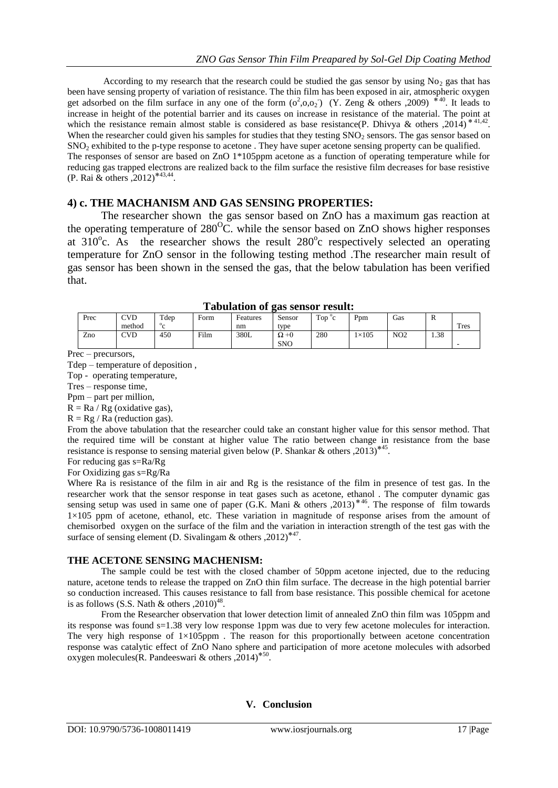According to my research that the research could be studied the gas sensor by using  $No<sub>2</sub>$  gas that has been have sensing property of variation of resistance. The thin film has been exposed in air, atmospheric oxygen get adsorbed on the film surface in any one of the form  $(o^2, o, o_2)$  (Y. Zeng & others ,2009)  $*^{40}$ . It leads to increase in height of the potential barrier and its causes on increase in resistance of the material. The point at which the resistance remain almost stable is considered as base resistance(P. Dhivya & others ,2014)<sup>\*41,42</sup>. When the researcher could given his samples for studies that they testing  $SNO<sub>2</sub>$  sensors. The gas sensor based on SNO<sup>2</sup> exhibited to the p-type response to acetone . They have super acetone sensing property can be qualified. The responses of sensor are based on ZnO 1\*105ppm acetone as a function of operating temperature while for reducing gas trapped electrons are realized back to the film surface the resistive film decreases for base resistive (P. Rai & others , 2012)<sup>\*43,44</sup>.

# **4) c. THE MACHANISM AND GAS SENSING PROPERTIES:**

The researcher shown the gas sensor based on ZnO has a maximum gas reaction at the operating temperature of  $280^{\circ}$ C. while the sensor based on ZnO shows higher responses at  $310^{\circ}$ c. As the researcher shows the result  $280^{\circ}$ c respectively selected an operating temperature for ZnO sensor in the following testing method .The researcher main result of gas sensor has been shown in the sensed the gas, that the below tabulation has been verified that.

| Tabulation of gas school Tesuit. |            |         |      |          |              |                 |              |                 |      |             |
|----------------------------------|------------|---------|------|----------|--------------|-----------------|--------------|-----------------|------|-------------|
| Prec                             | <b>CVD</b> | $T$ dep | Form | Features | Sensor       | Top $\degree$ c | Ppm          | Gas             | А    |             |
|                                  | method     |         |      | nm       | type         |                 |              |                 |      | <b>Tres</b> |
| Zno                              | <b>CVD</b> | 450     | Film | 380L     | $\Omega + 0$ | 280             | $1\times105$ | NO <sub>2</sub> | 1.38 |             |
|                                  |            |         |      |          | <b>SNO</b>   |                 |              |                 |      |             |

| <b>Tabulation of gas sensor result:</b> |  |  |  |
|-----------------------------------------|--|--|--|
|-----------------------------------------|--|--|--|

Prec – precursors,

Tdep – temperature of deposition ,

Top - operating temperature,

Tres – response time,

Ppm – part per million,

 $R = Ra / Rg$  (oxidative gas),

 $R = Rg / Ra$  (reduction gas).

From the above tabulation that the researcher could take an constant higher value for this sensor method. That the required time will be constant at higher value The ratio between change in resistance from the base resistance is response to sensing material given below (P. Shankar & others , 2013)<sup>\*45</sup>.

For reducing gas s=Ra/Rg

For Oxidizing gas s=Rg/Ra

Where Ra is resistance of the film in air and Rg is the resistance of the film in presence of test gas. In the researcher work that the sensor response in teat gases such as acetone, ethanol . The computer dynamic gas sensing setup was used in same one of paper (G.K. Mani & others , 2013)<sup>\*46</sup>. The response of film towards 1×105 ppm of acetone, ethanol, etc. These variation in magnitude of response arises from the amount of chemisorbed oxygen on the surface of the film and the variation in interaction strength of the test gas with the surface of sensing element (D. Sivalingam & others , 2012)<sup>\*47</sup>.

# **THE ACETONE SENSING MACHENISM:**

The sample could be test with the closed chamber of 50ppm acetone injected, due to the reducing nature, acetone tends to release the trapped on ZnO thin film surface. The decrease in the high potential barrier so conduction increased. This causes resistance to fall from base resistance. This possible chemical for acetone is as follows (S.S. Nath & others ,  $2010)^{48}$ .

From the Researcher observation that lower detection limit of annealed ZnO thin film was 105ppm and its response was found s=1.38 very low response 1ppm was due to very few acetone molecules for interaction. The very high response of  $1\times105$ ppm. The reason for this proportionally between acetone concentration response was catalytic effect of ZnO Nano sphere and participation of more acetone molecules with adsorbed oxygen molecules (R. Pandeeswari & others ,  $2014$ )<sup>\*50</sup>.

# **V. Conclusion**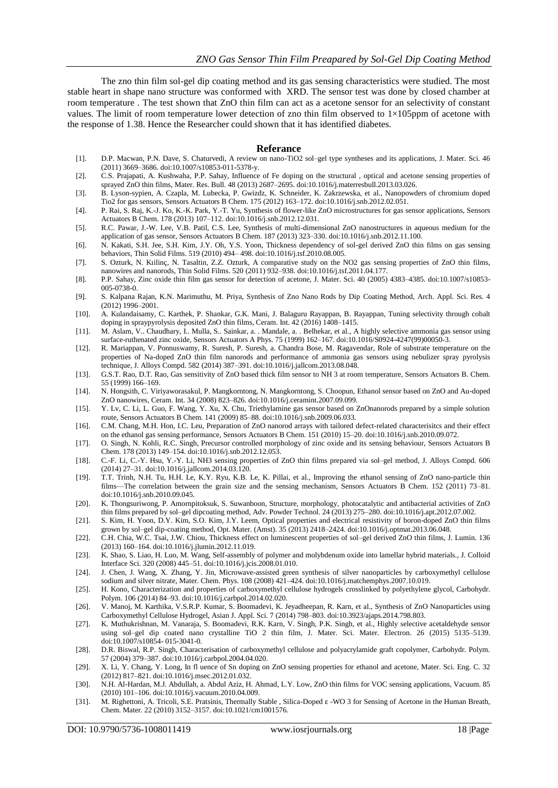The zno thin film sol-gel dip coating method and its gas sensing characteristics were studied. The most stable heart in shape nano structure was conformed with XRD. The sensor test was done by closed chamber at room temperature . The test shown that ZnO thin film can act as a acetone sensor for an selectivity of constant values. The limit of room temperature lower detection of zno thin film observed to  $1\times105$ ppm of acetone with the response of 1.38. Hence the Researcher could shown that it has identified diabetes.

#### **Referance**

- [1]. D.P. Macwan, P.N. Dave, S. Chaturvedi, A review on nano-TiO2 sol–gel type syntheses and its applications, J. Mater. Sci. 46 (2011) 3669–3686. doi:10.1007/s10853-011-5378-y.
- [2]. C.S. Prajapati, A. Kushwaha, P.P. Sahay, Influence of Fe doping on the structural , optical and acetone sensing properties of sprayed ZnO thin films, Mater. Res. Bull. 48 (2013) 2687–2695. doi:10.1016/j.materresbull.2013.03.026.
- [3]. B. Lyson-sypien, A. Czapla, M. Lubecka, P. Gwizdz, K. Schneider, K. Zakrzewska, et al., Nanopowders of chromium doped Tio2 for gas sensors, Sensors Actuators B Chem. 175 (2012) 163–172. doi:10.1016/j.snb.2012.02.051.
- [4]. P. Rai, S. Raj, K.-J. Ko, K.-K. Park, Y.-T. Yu, Synthesis of flower-like ZnO microstructures for gas sensor applications, Sensors Actuators B Chem. 178 (2013) 107–112. doi:10.1016/j.snb.2012.12.031.
- [5]. R.C. Pawar, J.-W. Lee, V.B. Patil, C.S. Lee, Synthesis of multi-dimensional ZnO nanostructures in aqueous medium for the application of gas sensor, Sensors Actuators B Chem. 187 (2013) 323–330. doi:10.1016/j.snb.2012.11.100.
- [6]. N. Kakati, S.H. Jee, S.H. Kim, J.Y. Oh, Y.S. Yoon, Thickness dependency of sol-gel derived ZnO thin films on gas sensing behaviors, Thin Solid Films. 519 (2010) 494– 498. doi:10.1016/j.tsf.2010.08.005.
- [7]. S. Ozturk, N. Kıilinç, N. Tasaltin, Z.Z. Ozturk, A comparative study on the NO2 gas sensing properties of ZnO thin films, nanowires and nanorods, Thin Solid Films. 520 (2011) 932–938. doi:10.1016/j.tsf.2011.04.177.
- [8]. P.P. Sahay, Zinc oxide thin film gas sensor for detection of acetone, J. Mater. Sci. 40 (2005) 4383–4385. doi:10.1007/s10853- 005-0738-0.
- [9]. S. Kalpana Rajan, K.N. Marimuthu, M. Priya, Synthesis of Zno Nano Rods by Dip Coating Method, Arch. Appl. Sci. Res. 4 (2012) 1996–2001.
- [10]. A. Kulandaisamy, C. Karthek, P. Shankar, G.K. Mani, J. Balaguru Rayappan, B. Rayappan, Tuning selectivity through cobalt doping in spraypyrolysis deposited ZnO thin films, Ceram. Int. 42 (2016) 1408–1415.
- [11]. M. Aslam, V.. Chaudhary, I.. Mulla, S.. Sainkar, a. . Mandale, a. . Belhekar, et al., A highly selective ammonia gas sensor using surface-ruthenated zinc oxide, Sensors Actuators A Phys. 75 (1999) 162–167. doi:10.1016/S0924-4247(99)00050-3.
- [12]. R. Mariappan, V. Ponnuswamy, R. Suresh, P. Suresh, a. Chandra Bose, M. Ragavendar, Role of substrate temperature on the properties of Na-doped ZnO thin film nanorods and performance of ammonia gas sensors using nebulizer spray pyrolysis technique, J. Alloys Compd. 582 (2014) 387–391. doi:10.1016/j.jallcom.2013.08.048.
- [13]. G.S.T. Rao, D.T. Rao, Gas sensitivity of ZnO based thick film sensor to NH 3 at room temperature, Sensors Actuators B. Chem. 55 (1999) 166–169.
- [14]. N. Hongsith, C. Viriyaworasakul, P. Mangkorntong, N. Mangkorntong, S. Choopun, Ethanol sensor based on ZnO and Au-doped ZnO nanowires, Ceram. Int. 34 (2008) 823–826. doi:10.1016/j.ceramint.2007.09.099.
- [15]. Y. Lv, C. Li, L. Guo, F. Wang, Y. Xu, X. Chu, Triethylamine gas sensor based on ZnOnanorods prepared by a simple solution route, Sensors Actuators B Chem. 141 (2009) 85–88. doi:10.1016/j.snb.2009.06.033.
- [16]. C.M. Chang, M.H. Hon, I.C. Leu, Preparation of ZnO nanorod arrays with tailored defect-related characterisitcs and their effect on the ethanol gas sensing performance, Sensors Actuators B Chem. 151 (2010) 15–20. doi:10.1016/j.snb.2010.09.072.
- [17]. O. Singh, N. Kohli, R.C. Singh, Precursor controlled morphology of zinc oxide and its sensing behaviour, Sensors Actuators B Chem. 178 (2013) 149–154. doi:10.1016/j.snb.2012.12.053.
- [18]. C.-F. Li, C.-Y. Hsu, Y.-Y. Li, NH3 sensing properties of ZnO thin films prepared via sol–gel method, J. Alloys Compd. 606 (2014) 27–31. doi:10.1016/j.jallcom.2014.03.120.
- [19]. T.T. Trinh, N.H. Tu, H.H. Le, K.Y. Ryu, K.B. Le, K. Pillai, et al., Improving the ethanol sensing of ZnO nano-particle thin films—The correlation between the grain size and the sensing mechanism, Sensors Actuators B Chem. 152 (2011) 73–81. doi:10.1016/j.snb.2010.09.045.
- [20]. K. Thongsuriwong, P. Amornpitoksuk, S. Suwanboon, Structure, morphology, photocatalytic and antibacterial activities of ZnO thin films prepared by sol–gel dipcoating method, Adv. Powder Technol. 24 (2013) 275–280. doi:10.1016/j.apt.2012.07.002.
- [21]. S. Kim, H. Yoon, D.Y. Kim, S.O. Kim, J.Y. Leem, Optical properties and electrical resistivity of boron-doped ZnO thin films grown by sol–gel dip-coating method, Opt. Mater. (Amst). 35 (2013) 2418–2424. doi:10.1016/j.optmat.2013.06.048.
- [22]. C.H. Chia, W.C. Tsai, J.W. Chiou, Thickness effect on luminescent properties of sol–gel derived ZnO thin films, J. Lumin. 136 (2013) 160–164. doi:10.1016/j.jlumin.2012.11.019.
- [23]. K. Shao, S. Liao, H. Luo, M. Wang, Self-assembly of polymer and molybdenum oxide into lamellar hybrid materials., J. Colloid Interface Sci. 320 (2008) 445–51. doi:10.1016/j.jcis.2008.01.010.
- [24]. J. Chen, J. Wang, X. Zhang, Y. Jin, Microwave-assisted green synthesis of silver nanoparticles by carboxymethyl cellulose sodium and silver nitrate, Mater. Chem. Phys. 108 (2008) 421–424. doi:10.1016/j.matchemphys.2007.10.019.
- [25]. H. Kono, Characterization and properties of carboxymethyl cellulose hydrogels crosslinked by polyethylene glycol, Carbohydr. Polym. 106 (2014) 84–93. doi:10.1016/j.carbpol.2014.02.020.
- [26]. V. Manoj, M. Karthika, V.S.R.P. Kumar, S. Boomadevi, K. Jeyadheepan, R. Karn, et al., Synthesis of ZnO Nanoparticles using Carboxymethyl Cellulose Hydrogel, Asian J. Appl. Sci. 7 (2014) 798–803. doi:10.3923/ajaps.2014.798.803.
- [27]. K. Muthukrishnan, M. Vanaraja, S. Boomadevi, R.K. Karn, V. Singh, P.K. Singh, et al., Highly selective acetaldehyde sensor using sol–gel dip coated nano crystalline TiO 2 thin film, J. Mater. Sci. Mater. Electron. 26 (2015) 5135–5139. doi:10.1007/s10854- 015-3041-0.
- [28]. D.R. Biswal, R.P. Singh, Characterisation of carboxymethyl cellulose and polyacrylamide graft copolymer, Carbohydr. Polym. 57 (2004) 379–387. doi:10.1016/j.carbpol.2004.04.020.
- [29]. X. Li, Y. Chang, Y. Long, In fl uence of Sn doping on ZnO sensing properties for ethanol and acetone, Mater. Sci. Eng. C. 32 (2012) 817–821. doi:10.1016/j.msec.2012.01.032.
- [30]. N.H. Al-Hardan, M.J. Abdullah, a. Abdul Aziz, H. Ahmad, L.Y. Low, ZnO thin films for VOC sensing applications, Vacuum. 85 (2010) 101–106. doi:10.1016/j.vacuum.2010.04.009.
- [31]. M. Righettoni, A. Tricoli, S.E. Pratsinis, Thermally Stable , Silica-Doped ε -WO 3 for Sensing of Acetone in the Human Breath, Chem. Mater. 22 (2010) 3152–3157. doi:10.1021/cm1001576.